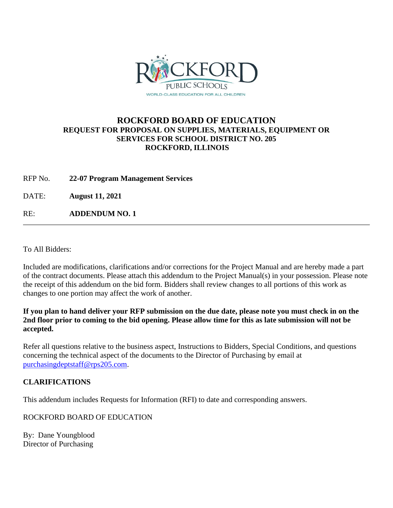

## **ROCKFORD BOARD OF EDUCATION REQUEST FOR PROPOSAL ON SUPPLIES, MATERIALS, EQUIPMENT OR SERVICES FOR SCHOOL DISTRICT NO. 205 ROCKFORD, ILLINOIS**

RFP No. **22-07 Program Management Services**

DATE: **August 11, 2021**

RE: **ADDENDUM NO. 1**

To All Bidders:

Included are modifications, clarifications and/or corrections for the Project Manual and are hereby made a part of the contract documents. Please attach this addendum to the Project Manual(s) in your possession. Please note the receipt of this addendum on the bid form. Bidders shall review changes to all portions of this work as changes to one portion may affect the work of another.

**If you plan to hand deliver your RFP submission on the due date, please note you must check in on the 2nd floor prior to coming to the bid opening. Please allow time for this as late submission will not be accepted.**

Refer all questions relative to the business aspect, Instructions to Bidders, Special Conditions, and questions concerning the technical aspect of the documents to the Director of Purchasing by email at [purchasingdeptstaff@rps205.com.](mailto:purchasingdeptstaff@rps205.com)

## **CLARIFICATIONS**

This addendum includes Requests for Information (RFI) to date and corresponding answers.

ROCKFORD BOARD OF EDUCATION

By: Dane Youngblood Director of Purchasing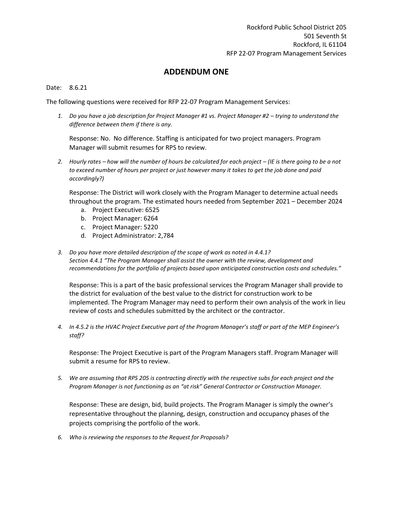## **ADDENDUM ONE**

## Date: 8.6.21

The following questions were received for RFP 22-07 Program Management Services:

1. *Do you have a job description for Project Manager #1 vs. Project Manager #2 – trying to understand the difference between them if there is any.* 

Response: No. No difference. Staffing is anticipated for two project managers. Program Manager will submit resumes for RPS to review.

2. Hourly rates – how will the number of hours be calculated for each project – (IE is there going to be a not *to exceed number of hours per project or just however many it takes to get the job done and paid accordingly?)* 

Response: The District will work closely with the Program Manager to determine actual needs throughout the program. The estimated hours needed from September 2021 – December 2024

- a. Project Executive: 6525
- b. Project Manager: 6264
- c. Project Manager: 5220
- d. Project Administrator: 2,784
- *3. Do you have more detailed description of the scope of work as noted in 4.4.1? Section 4.4.1 "The Program Manager shall assist the owner with the review, development and recommendations for the portfolio of projects based upon anticipated construction costs and schedules."*

Response: This is a part of the basic professional services the Program Manager shall provide to the district for evaluation of the best value to the district for construction work to be implemented. The Program Manager may need to perform their own analysis of the work in lieu review of costs and schedules submitted by the architect or the contractor.

*4. In 4.5.2 is the HVAC Project Executive part of the Program Manager's staff or part of the MEP Engineer's staff?*

Response: The Project Executive is part of the Program Managers staff. Program Manager will submit a resume for RPS to review.

*5. We are assuming that RPS 205 is contracting directly with the respective subs for each project and the Program Manager is not functioning as an "at risk" General Contractor or Construction Manager.*

Response: These are design, bid, build projects. The Program Manager is simply the owner's representative throughout the planning, design, construction and occupancy phases of the projects comprising the portfolio of the work.

*6. Who is reviewing the responses to the Request for Proposals?*